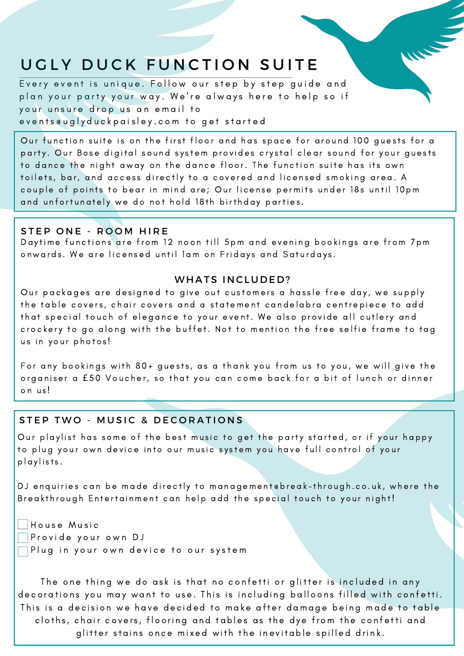# UGLY DUCK FUNCTION SUITE

Every event is unique. Follow our step by step guide and plan your party your way. We're always here to help so if your unsure drop us an email to eventseuglyduckpaisley.com to get started

Our function suite is on the first floor and has space for around 100 guests for a party. Our Bose digital sound system provides crystal clear sound for your guests to dance the night away on the dance floor. The function suite has its own toilets, bar, and access directly to a covered and licensed smoking area. A couple of points to bear in mind are; Our license permits under 18s until 10 pm and unfortunately we do not hold 18th birthday parties.

#### STEP ONE - ROOM HIRE

Daytime functions are from 12 noon till 5pm and evening bookings are from 7pm onwards. We are licensed until 1 am on Fridays and Saturdays.

#### WHATS INCLUDED?

Our packages are designed to give out customers a hassle free day, we supply the table covers, chair covers and a statement candelabra centrepiece to add that special touch of elegance to your event. We also provide all cutlery and crockery to go along with the buffet. Not to mention the free selfie frame to tag us in your photos!

For any bookings with 80+ guests, as a thank you from us to you, we will give the organiser a £50 Voucher, so that you can come back for a bit of lunch or dinner on us!

### STEP TWO - MUSIC & DECORATIONS

Our playlist has some of the best music to get the party started, or if your happy to plug your own device into our music system you have full control of your playlists.

DJ enquiries can be made directly to management ebreak-through.co.uk, where the Breakthrough Entertainment can help add the special touch to your night!

House Music Provide your own DJ  $\Box$  Plug in your own device to our system

The one thing we do ask is that no confetti or glitter is included in any decorations you may want to use. This is including balloons filled with confetti. This is a decision we have decided to make after damage being made to table cloths, chair covers, flooring and tables as the dye from the confetti and glitter stains once mixed with the inevitable spilled drink.